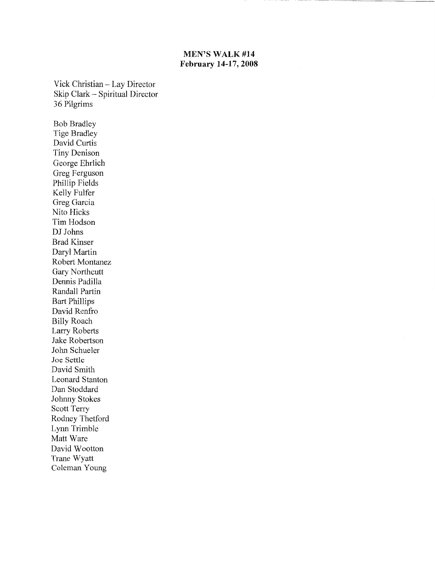### **MEN'S WALK #14 February 14-17,2008**

Vick Christian- Lay Director Skip Clark - Spiritual Director 36 Pilgrims

Bob Bradley Tige Bradley David Curtis Tiny Denison George Ehrlich Greg Ferguson Phillip Fields Kelly Fulfer Greg Garcia Nito Hicks Tim Hodson DJ Johns Brad Kinser Daryl Martin Robert Montanez Gary Northcutt Dennis Padilla Randall Partin Bart Phillips David Renfro Billy Roach Larry Roberts Jake Robertson John Schueler Joe Settle David Smith Leonard Stanton Dan Stoddard Johnny Stokes Scott Terry Rodney Thetford Lynn Trimble Matt Ware David Wootton Trane Wyatt Coleman Young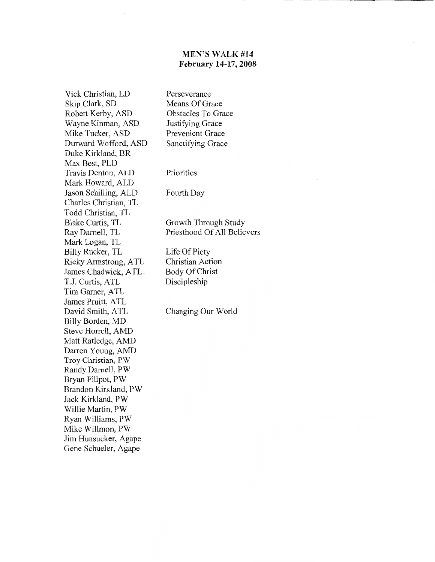### **MEN'S WALK #14 February 14-17,2008**

Vick Christian, LD Skip Clark, SD Robert Kerby, ASD Wayne Kinman, ASD Mike Tucker, ASD Durward Wofford, ASD Duke Kirkland, BR Max Best, PLD Travis Denton, ALD Mark Howard, ALD Jason Schilling, ALD Charles Christian, TL Todd Christian, TL Blake Curtis, TL Ray Darnell, TL Mark Logan, TL Billy Rucker, TL Ricky Armstrong, A TL James Chadwick, ATL. T.J. Curtis, ATL Tim Gamer, ATL James Pruitt, ATL David Smith, ATL Billy Borden, MD Steve Horrell, AMD Matt Ratledge, AMD Darren Young, AMD Troy Christian, PW Randy Darnell, PW Bryan Fillpot, PW Brandon Kirkland, PW Jack Kirkland, PW Willie Martin, PW Ryan Williams, PW Mike Willmon, PW Jim Hunsucker, Agape Gene Schueler, Agape

Perseverance Means Of Grace Obstacles To Grace Justifying Grace Prevenient Grace Sanctifying Grace

Priorities

Fourth Day

Growth Through Study Priesthood Of All Believers

Life Of Piety Christian Action Body Of Christ Discipleship

Changing Our World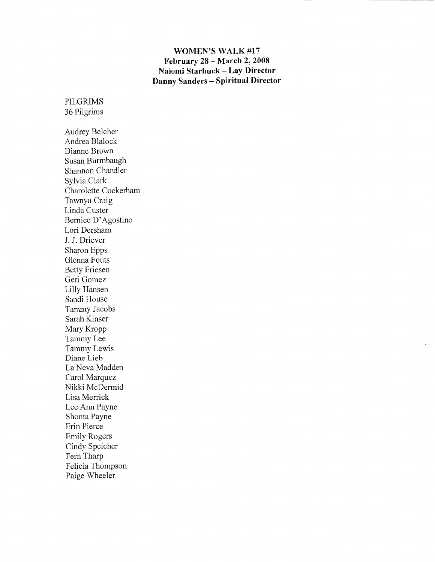### **WOMEN'S WALK #17 February 28- March 2, 2008 Naiomi Starbuck- Lay Director Danny Sanders -Spiritual Director**

PILGRIMS 36 Pilgrims

Audrey Belcher Andrea Blalock Dianne Brown Susan Burmbaugh Shannon Chandler Sylvia Clark Charolette Cockerham Tawnya Craig Linda Custer Bernice D' Agostino Lori Dersham J. J. Driever Sharon Epps Glenna Fouts Betty Friesen Geri Gomez Lilly Hansen Sandi House Tammy Jacobs Sarah Kinser Mary Kropp Tammy Lee Tammy Lewis Diane Lieb La Neva Madden Carol Marquez Nikki McDermid Lisa Merrick Lee Ann Payne Shonta Payne Erin Pierce Emily Rogers Cindy Speicher Fern Tharp Felicia Thompson Paige Wheeler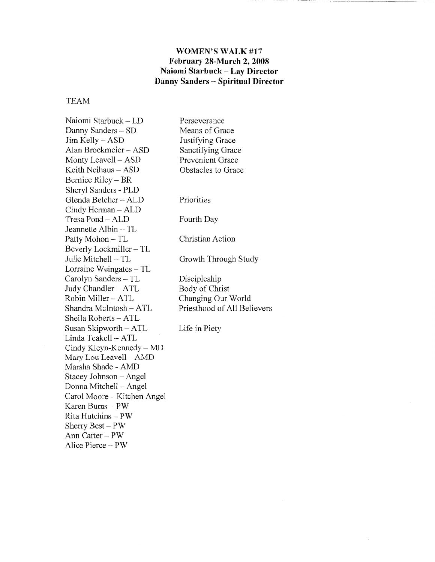### **WOMEN'S WALK** #17 **February 28-March 2, 2008 Naiomi Starbuck- Lay Director Danny Sanders - Spiritual Director**

#### TEAM

Naiomi Starbuck- LD Danny Sanders - SD Jim Kelly- ASD Alan Brockmeier - ASD Monty Leavell- ASD Keith Neihaus- ASD Bernice Riley - BR Sheryl Sanders - PLD Glenda Belcher - ALD Cindy Herman- ALD Tresa Pond- ALD Jeannette Albin- TL Patty Mohon- TL Beverly Lockmiller- TL Julie Mitchell- TL Lorraine Weingates - TL Carolyn Sanders - TL Judy Chandler- ATL Robin Miller- ATL Shandra Mcintosh- ATL Sheila Roberts- ATL Susan Skipworth- A TL Linda Teakell- ATL Cindy Kleyn-Kennedy - MD Mary Lou Leavell- AMD Marsha Shade - AMD Stacey Johnson - Angel Donna Mitchell - Angel Carol Moore - Kitchen Angel Karen Bums- PW Rita Hutchins - PW Sherry Best- PW Ann Carter- PW Alice Pierce - PW Perseverance Means of Grace Justifying Grace Sanctifying Grace Prevenient Grace Obstacles to Grace Priorities Fourth Day Christian Action Growth Through Study Discipleship Body of Christ Changing Our World Priesthood of All Believers Life in Piety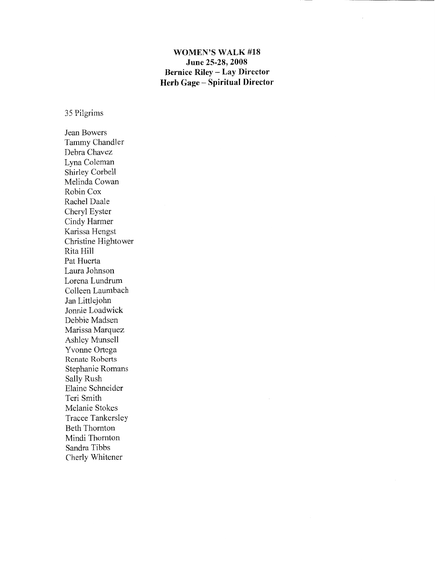## **WOMEN'S WALK #18 June 25-28, 2008 Bernice Riley - Lay Director Herb Gage- Spiritual Director**

35 Pilgrims

Jean Bowers Tammy Chandler Debra Chavez Lyna Coleman Shirley Corbell Melinda Cowan Robin Cox Rachel Daale Cheryl Eyster Cindy Harmer Karissa Hengst Christine Hightower Rita Hill Pat Huerta Laura Johnson Lorena Lundrum Colleen Laumbach Jan Littlejohn Jonnie Loadwick Debbie Madsen Marissa Marquez Ashley Munsell Yvonne Ortega Renate Roberts Stephanie Romans Sally Rush Elaine Schneider Teri Smith Melanie Stokes Tracee Tankersley Beth Thornton Mindi Thornton Sandra Tibbs Cherly Whitener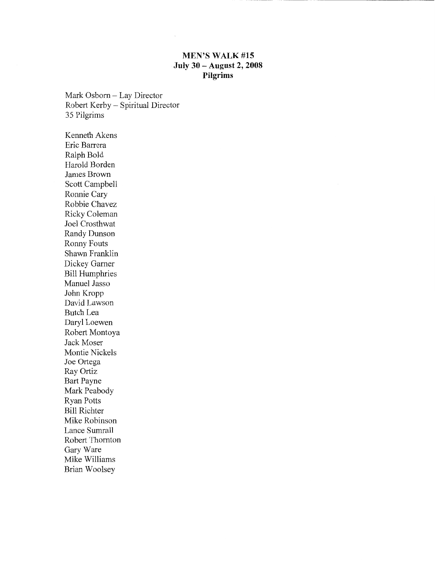### **MEN'S WALK #15 July 30 -August 2, 2008 Pilgrims**

Mark Osborn- Lay Director Robert Kerby - Spiritual Director 35 Pilgrims

Kenneth Akens Eric Barrera Ralph Bold Harold Borden James Brown Scott Campbell Ronnie Cary Robbie Chavez Ricky Coleman Joel Crosthwat Randy Dunson Ronny Fouts Shawn Franklin Dickey Gamer Bill Humphries Manuel Jasso John Kropp David Lawson Butch Lea Daryl Loewen Robert Montoya Jack Moser Montie Nickels Joe Ortega Ray Ortiz Bart Payne Mark Peabody Ryan Potts Bill Richter Mike Robinson Lance Sumrall Robert Thornton Gary Ware Mike Williams Brian Woolsey